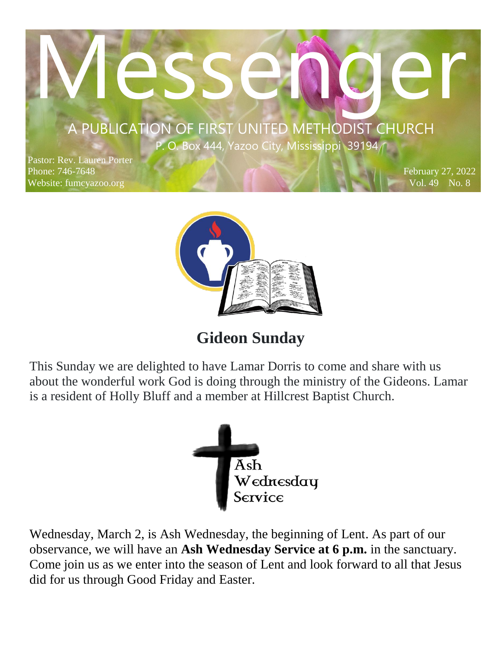# MESSENGER A PUBLICATION OF FIRST UNITED METHODIST CHURCH

**P. O.** Box 444, Yazoo City, Mississippi 39194

 $\mathcal{P}(\mathcal{A})$  and  $\mathcal{A}(\mathcal{A})$ 

Pastor: Rev. Lauren Porter Phone: 746-7648 Website: fumcyazoo.org

February 27, 2022 Vol. 49 No. 8



# **Gideon Sunday**

This Sunday we are delighted to have Lamar Dorris to come and share with us about the wonderful work God is doing through the ministry of the Gideons. Lamar is a resident of Holly Bluff and a member at Hillcrest Baptist Church.



Wednesday, March 2, is Ash Wednesday, the beginning of Lent. As part of our observance, we will have an **Ash Wednesday Service at 6 p.m.** in the sanctuary. Come join us as we enter into the season of Lent and look forward to all that Jesus did for us through Good Friday and Easter.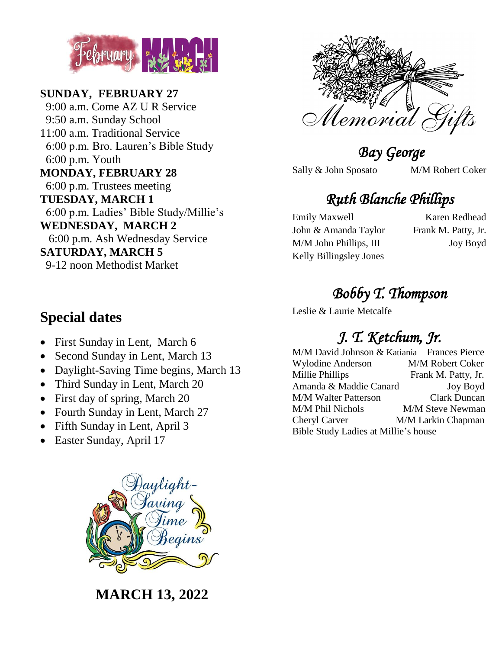

**SUNDAY, FEBRUARY 27** 9:00 a.m. Come AZ U R Service 9:50 a.m. Sunday School 11:00 a.m. Traditional Service 6:00 p.m. Bro. Lauren's Bible Study 6:00 p.m. Youth **MONDAY, FEBRUARY 28** 6:00 p.m. Trustees meeting **TUESDAY, MARCH 1** 6:00 p.m. Ladies' Bible Study/Millie's **WEDNESDAY, MARCH 2** 6:00 p.m. Ash Wednesday Service **SATURDAY, MARCH 5** 9-12 noon Methodist Market



- First Sunday in Lent, March 6
- Second Sunday in Lent, March 13
- Daylight-Saving Time begins, March 13
- Third Sunday in Lent, March 20
- First day of spring, March 20
- Fourth Sunday in Lent, March 27
- Fifth Sunday in Lent, April 3
- Easter Sunday, April 17



**MARCH 13, 2022**



 *Bay George* 

Sally & John Sposato M/M Robert Coker

# *Ruth Blanche Phillips*

Emily Maxwell Karen Redhead John & Amanda Taylor Frank M. Patty, Jr. M/M John Phillips, III Joy Boyd Kelly Billingsley Jones

# *Bobby T. Thompson*

Leslie & Laurie Metcalfe

# *J. T. Ketchum, Jr.*

| M/M David Johnson & Katiania Frances Pierce |                         |
|---------------------------------------------|-------------------------|
| <b>Wylodine Anderson</b>                    | M/M Robert Coker        |
| Millie Phillips                             | Frank M. Patty, Jr.     |
| Amanda & Maddie Canard                      | <b>Joy Boyd</b>         |
| <b>M/M Walter Patterson</b>                 | <b>Clark Duncan</b>     |
| M/M Phil Nichols                            | <b>M/M Steve Newman</b> |
| Cheryl Carver                               | M/M Larkin Chapman      |
| Bible Study Ladies at Millie's house        |                         |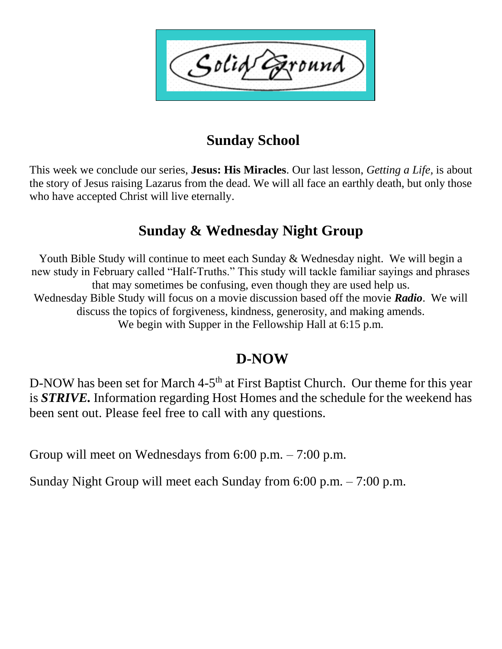Solid ound

## **Sunday School**

This week we conclude our series, **Jesus: His Miracles**. Our last lesson, *Getting a Life,* is about the story of Jesus raising Lazarus from the dead. We will all face an earthly death, but only those who have accepted Christ will live eternally.

### **Sunday & Wednesday Night Group**

Youth Bible Study will continue to meet each Sunday & Wednesday night. We will begin a new study in February called "Half-Truths." This study will tackle familiar sayings and phrases that may sometimes be confusing, even though they are used help us. Wednesday Bible Study will focus on a movie discussion based off the movie *Radio*. We will discuss the topics of forgiveness, kindness, generosity, and making amends. We begin with Supper in the Fellowship Hall at 6:15 p.m.

#### **D-NOW**

D-NOW has been set for March 4-5<sup>th</sup> at First Baptist Church. Our theme for this year is *STRIVE.* Information regarding Host Homes and the schedule for the weekend has been sent out. Please feel free to call with any questions.

Group will meet on Wednesdays from 6:00 p.m. – 7:00 p.m.

Sunday Night Group will meet each Sunday from 6:00 p.m. – 7:00 p.m.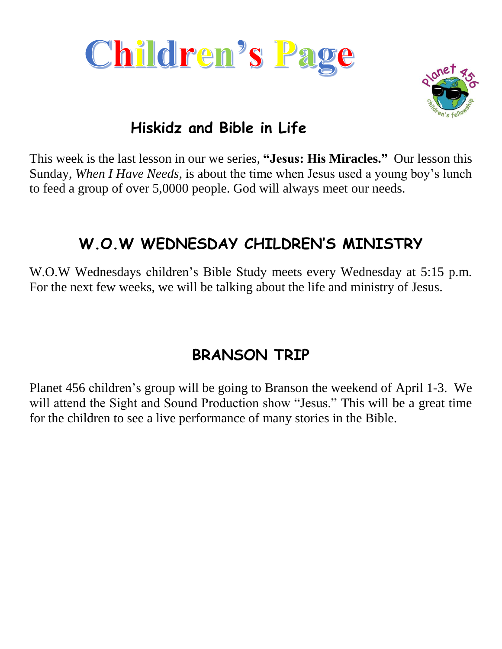



# **Hiskidz and Bible in Life**

This week is the last lesson in our we series, **"Jesus: His Miracles."** Our lesson this Sunday, *When I Have Needs,* is about the time when Jesus used a young boy's lunch to feed a group of over 5,0000 people. God will always meet our needs.

# **W.O.W WEDNESDAY CHILDREN'S MINISTRY**

W.O.W Wednesdays children's Bible Study meets every Wednesday at 5:15 p.m. For the next few weeks, we will be talking about the life and ministry of Jesus.

# **BRANSON TRIP**

Planet 456 children's group will be going to Branson the weekend of April 1-3. We will attend the Sight and Sound Production show "Jesus." This will be a great time for the children to see a live performance of many stories in the Bible.